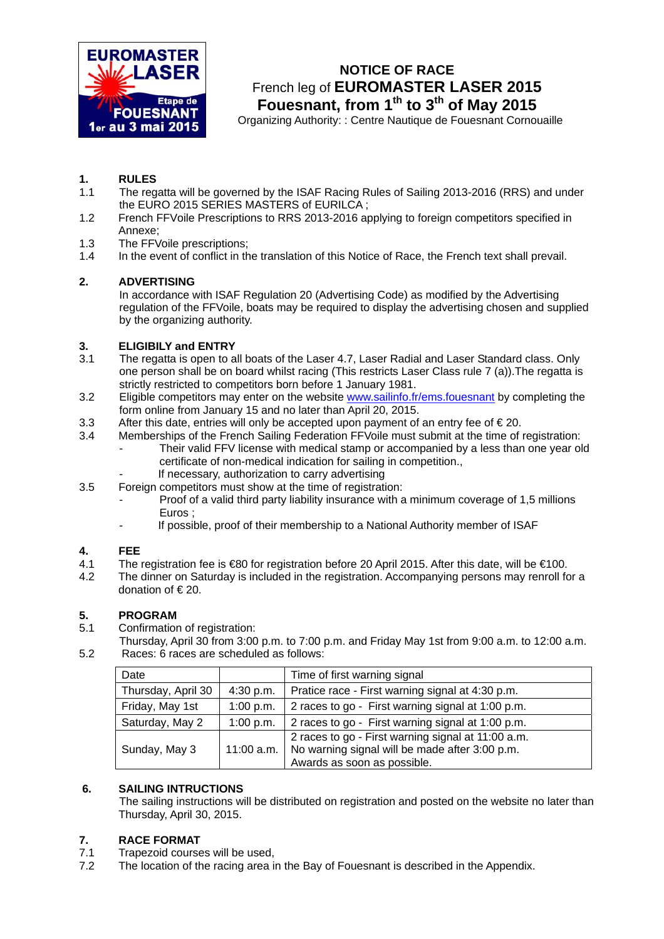

# **NOTICE OF RACE**  French leg of **EUROMASTER LASER 2015** Fouesnant, from 1<sup>th</sup> to 3<sup>th</sup> of May 2015

Organizing Authority: : Centre Nautique de Fouesnant Cornouaille

# **1. RULES**

- The regatta will be governed by the ISAF Racing Rules of Sailing 2013-2016 (RRS) and under the EURO 2015 SERIES MASTERS of EURILCA ;
- 1.2 French FFVoile Prescriptions to RRS 2013-2016 applying to foreign competitors specified in Annexe;
- 1.3 The FFVoile prescriptions;
- 1.4 In the event of conflict in the translation of this Notice of Race, the French text shall prevail.

# **2. ADVERTISING**

In accordance with ISAF Regulation 20 (Advertising Code) as modified by the Advertising regulation of the FFVoile, boats may be required to display the advertising chosen and supplied by the organizing authority.

# **3. ELIGIBILY and ENTRY**

- 3.1 The regatta is open to all boats of the Laser 4.7, Laser Radial and Laser Standard class. Only one person shall be on board whilst racing (This restricts Laser Class rule 7 (a)).The regatta is strictly restricted to competitors born before 1 January 1981.
- 3.2 Eligible competitors may enter on the website [www.sailinfo.fr/ems.fouesnant by](http://www.sailinfo.fr/ems.fouesnant) completing the form online from January 15 and no later than April 20, 2015.
- 3.3 After this date, entries will only be accepted upon payment of an entry fee of  $\epsilon$  20.
- 3.4 Memberships of the French Sailing Federation FFVoile must submit at the time of registration: Their valid FFV license with medical stamp or accompanied by a less than one year old certificate of non-medical indication for sailing in competition.,
	- If necessary, authorization to carry advertising
- 3.5 Foreign competitors must show at the time of registration:
	- Proof of a valid third party liability insurance with a minimum coverage of 1,5 millions Euros ;
		- If possible, proof of their membership to a National Authority member of ISAF

# **4. FEE**

- 4.1 The registration fee is €80 for registration before 20 April 2015. After this date, will be €100.
- 4.2 The dinner on Saturday is included in the registration. Accompanying persons may renroll for a donation of € 20.

# **5. PROGRAM**

- 5.1 Confirmation of registration:
- Thursday, April 30 from 3:00 p.m. to 7:00 p.m. and Friday May 1st from 9:00 a.m. to 12:00 a.m. 5.2 Races: 6 races are scheduled as follows:

| Date               |           | Time of first warning signal                                                                                                                     |
|--------------------|-----------|--------------------------------------------------------------------------------------------------------------------------------------------------|
| Thursday, April 30 | 4:30 p.m. | Pratice race - First warning signal at 4:30 p.m.                                                                                                 |
| Friday, May 1st    | 1:00 p.m. | 2 races to go - First warning signal at 1:00 p.m.                                                                                                |
| Saturday, May 2    | 1:00 p.m. | 2 races to go - First warning signal at 1:00 p.m.                                                                                                |
| Sunday, May 3      |           | 2 races to go - First warning signal at 11:00 a.m.<br>11:00 a.m.   No warning signal will be made after 3:00 p.m.<br>Awards as soon as possible. |

# **6. SAILING INTRUCTIONS**

The sailing instructions will be distributed on registration and posted on the website no later than Thursday, April 30, 2015.

# **7. RACE FORMAT**

- 7.1 Trapezoid courses will be used,
- 7.2 The location of the racing area in the Bay of Fouesnant is described in the Appendix.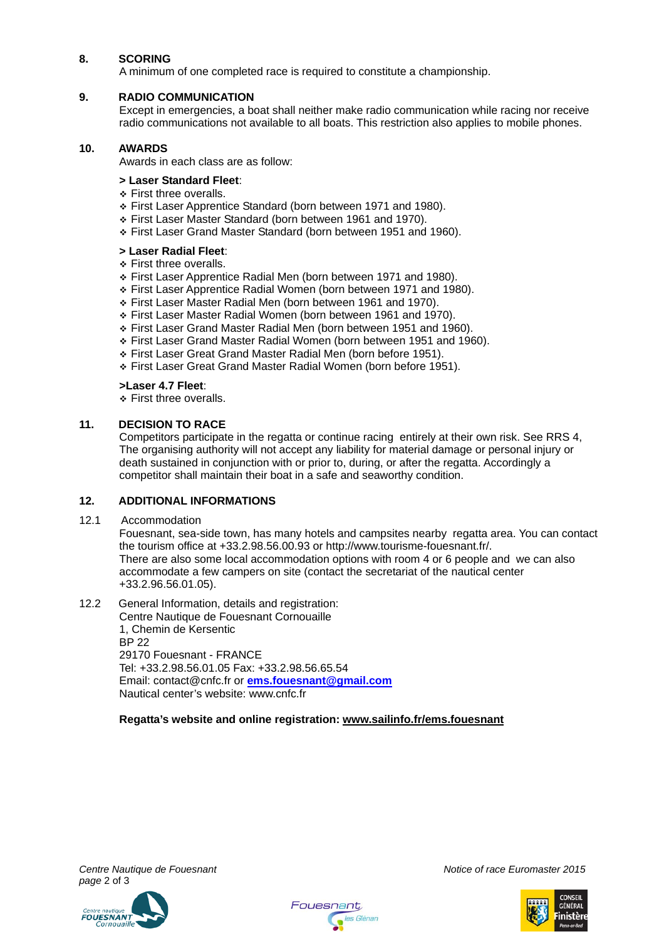# **8. SCORING**

A minimum of one completed race is required to constitute a championship.

# **9. RADIO COMMUNICATION**

Except in emergencies, a boat shall neither make radio communication while racing nor receive radio communications not available to all boats. This restriction also applies to mobile phones.

# **10. AWARDS**

Awards in each class are as follow:

## **> Laser Standard Fleet**:

- ❖ First three overalls.
- First Laser Apprentice Standard (born between 1971 and 1980).
- First Laser Master Standard (born between 1961 and 1970).
- First Laser Grand Master Standard (born between 1951 and 1960).

# **> Laser Radial Fleet**:

- **Eirst three overalls.**
- First Laser Apprentice Radial Men (born between 1971 and 1980).
- First Laser Apprentice Radial Women (born between 1971 and 1980).
- First Laser Master Radial Men (born between 1961 and 1970).
- First Laser Master Radial Women (born between 1961 and 1970).
- First Laser Grand Master Radial Men (born between 1951 and 1960).
- First Laser Grand Master Radial Women (born between 1951 and 1960).
- First Laser Great Grand Master Radial Men (born before 1951).
- First Laser Great Grand Master Radial Women (born before 1951).

# **>Laser 4.7 Fleet**:

**Eirst three overalls.** 

# **11. DECISION TO RACE**

Competitors participate in the regatta or continue racing entirely at their own risk. See RRS 4, The organising authority will not accept any liability for material damage or personal injury or death sustained in conjunction with or prior to, during, or after the regatta. Accordingly a competitor shall maintain their boat in a safe and seaworthy condition.

## **12. ADDITIONAL INFORMATIONS**

12.1 Accommodation

Fouesnant, sea-side town, has many hotels and campsites nearby regatta area. You can contact the tourism office at +33.2.98.56.00.93 or [http://www.tourisme-fouesnant.fr/.](http://www.tourisme-fouesnant.fr)  There are also some local accommodation options with room 4 or 6 people and we can also accommodate a few campers on site (contact the secretariat of the nautical center +33.2.96.56.01.05).

# 12.2 General Information, details and registration:

Centre Nautique de Fouesnant Cornouaille 1, Chemin de Kersentic BP 22 29170 Fouesnant - FRANCE Tel: +33.2.98.56.01.05 Fax: +33.2.98.56.65.54 Email: [contact@cnfc.fr or](mailto:contact@cnfc.fr) **ems[.fouesnant@gmail.com](mailto:fouesnant@gmail.com)** Nautical center's website: [www.cnfc.fr](http://www.cnfc.fr) 

**Regatta's website and online registration: [www.sailinfo.fr/ems.fouesnant](http://www.sailinfo.fr/ems.fouesnant)**







*Centre Nautique de Fouesnant Notice of race Euromaster 2015*